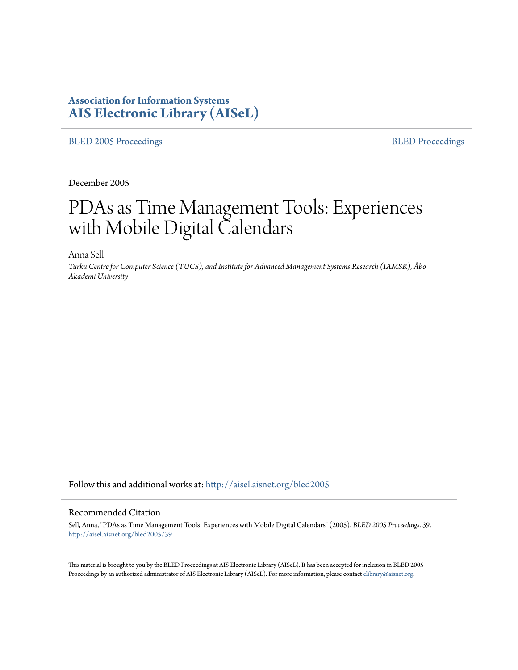# **Association for Information Systems [AIS Electronic Library \(AISeL\)](http://aisel.aisnet.org?utm_source=aisel.aisnet.org%2Fbled2005%2F39&utm_medium=PDF&utm_campaign=PDFCoverPages)**

#### [BLED 2005 Proceedings](http://aisel.aisnet.org/bled2005?utm_source=aisel.aisnet.org%2Fbled2005%2F39&utm_medium=PDF&utm_campaign=PDFCoverPages) **[BLED Proceedings](http://aisel.aisnet.org/bled?utm_source=aisel.aisnet.org%2Fbled2005%2F39&utm_medium=PDF&utm_campaign=PDFCoverPages)**

December 2005

# PDAs as Time Management Tools: Experiences with Mobile Digital Calendars

Anna Sell

*Turku Centre for Computer Science (TUCS), and Institute for Advanced Management Systems Research (IAMSR), Åbo Akademi University*

Follow this and additional works at: [http://aisel.aisnet.org/bled2005](http://aisel.aisnet.org/bled2005?utm_source=aisel.aisnet.org%2Fbled2005%2F39&utm_medium=PDF&utm_campaign=PDFCoverPages)

#### Recommended Citation

Sell, Anna, "PDAs as Time Management Tools: Experiences with Mobile Digital Calendars" (2005). *BLED 2005 Proceedings*. 39. [http://aisel.aisnet.org/bled2005/39](http://aisel.aisnet.org/bled2005/39?utm_source=aisel.aisnet.org%2Fbled2005%2F39&utm_medium=PDF&utm_campaign=PDFCoverPages)

This material is brought to you by the BLED Proceedings at AIS Electronic Library (AISeL). It has been accepted for inclusion in BLED 2005 Proceedings by an authorized administrator of AIS Electronic Library (AISeL). For more information, please contact [elibrary@aisnet.org](mailto:elibrary@aisnet.org%3E).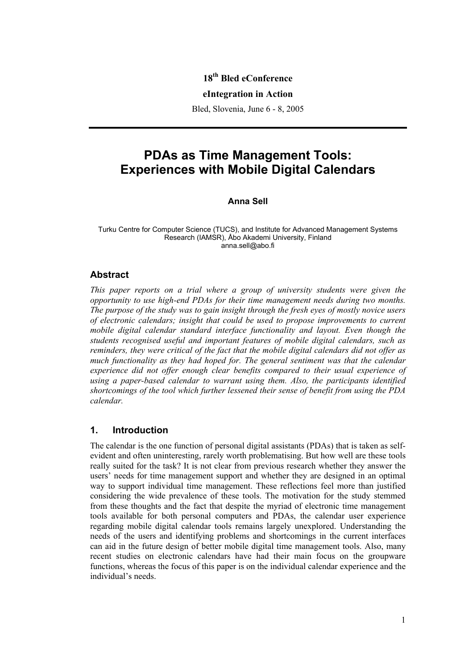## **18th Bled eConference**

#### **eIntegration in Action**

Bled, Slovenia, June 6 - 8, 2005

# **PDAs as Time Management Tools: Experiences with Mobile Digital Calendars**

#### **Anna Sell**

Turku Centre for Computer Science (TUCS), and Institute for Advanced Management Systems Research (IAMSR), Åbo Akademi University, Finland anna.sell@abo.fi

#### **Abstract**

*This paper reports on a trial where a group of university students were given the opportunity to use high-end PDAs for their time management needs during two months. The purpose of the study was to gain insight through the fresh eyes of mostly novice users of electronic calendars; insight that could be used to propose improvements to current mobile digital calendar standard interface functionality and layout. Even though the students recognised useful and important features of mobile digital calendars, such as reminders, they were critical of the fact that the mobile digital calendars did not offer as much functionality as they had hoped for. The general sentiment was that the calendar experience did not offer enough clear benefits compared to their usual experience of using a paper-based calendar to warrant using them. Also, the participants identified shortcomings of the tool which further lessened their sense of benefit from using the PDA calendar.* 

#### **1. Introduction**

The calendar is the one function of personal digital assistants (PDAs) that is taken as selfevident and often uninteresting, rarely worth problematising. But how well are these tools really suited for the task? It is not clear from previous research whether they answer the users' needs for time management support and whether they are designed in an optimal way to support individual time management. These reflections feel more than justified considering the wide prevalence of these tools. The motivation for the study stemmed from these thoughts and the fact that despite the myriad of electronic time management tools available for both personal computers and PDAs, the calendar user experience regarding mobile digital calendar tools remains largely unexplored. Understanding the needs of the users and identifying problems and shortcomings in the current interfaces can aid in the future design of better mobile digital time management tools. Also, many recent studies on electronic calendars have had their main focus on the groupware functions, whereas the focus of this paper is on the individual calendar experience and the individual's needs.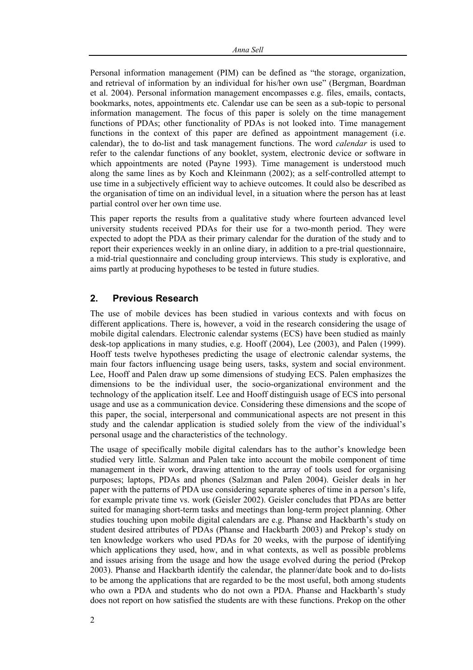Personal information management (PIM) can be defined as "the storage, organization, and retrieval of information by an individual for his/her own use" (Bergman, Boardman et al. 2004). Personal information management encompasses e.g. files, emails, contacts, bookmarks, notes, appointments etc. Calendar use can be seen as a sub-topic to personal information management. The focus of this paper is solely on the time management functions of PDAs; other functionality of PDAs is not looked into. Time management functions in the context of this paper are defined as appointment management (i.e. calendar), the to do-list and task management functions. The word *calendar* is used to refer to the calendar functions of any booklet, system, electronic device or software in which appointments are noted (Payne 1993). Time management is understood much along the same lines as by Koch and Kleinmann (2002); as a self-controlled attempt to use time in a subjectively efficient way to achieve outcomes. It could also be described as the organisation of time on an individual level, in a situation where the person has at least partial control over her own time use.

This paper reports the results from a qualitative study where fourteen advanced level university students received PDAs for their use for a two-month period. They were expected to adopt the PDA as their primary calendar for the duration of the study and to report their experiences weekly in an online diary, in addition to a pre-trial questionnaire, a mid-trial questionnaire and concluding group interviews. This study is explorative, and aims partly at producing hypotheses to be tested in future studies.

#### **2. Previous Research**

The use of mobile devices has been studied in various contexts and with focus on different applications. There is, however, a void in the research considering the usage of mobile digital calendars. Electronic calendar systems (ECS) have been studied as mainly desk-top applications in many studies, e.g. Hooff (2004), Lee (2003), and Palen (1999). Hooff tests twelve hypotheses predicting the usage of electronic calendar systems, the main four factors influencing usage being users, tasks, system and social environment. Lee, Hooff and Palen draw up some dimensions of studying ECS. Palen emphasizes the dimensions to be the individual user, the socio-organizational environment and the technology of the application itself. Lee and Hooff distinguish usage of ECS into personal usage and use as a communication device. Considering these dimensions and the scope of this paper, the social, interpersonal and communicational aspects are not present in this study and the calendar application is studied solely from the view of the individual's personal usage and the characteristics of the technology.

The usage of specifically mobile digital calendars has to the author's knowledge been studied very little. Salzman and Palen take into account the mobile component of time management in their work, drawing attention to the array of tools used for organising purposes; laptops, PDAs and phones (Salzman and Palen 2004). Geisler deals in her paper with the patterns of PDA use considering separate spheres of time in a person's life, for example private time vs. work (Geisler 2002). Geisler concludes that PDAs are better suited for managing short-term tasks and meetings than long-term project planning. Other studies touching upon mobile digital calendars are e.g. Phanse and Hackbarth's study on student desired attributes of PDAs (Phanse and Hackbarth 2003) and Prekop's study on ten knowledge workers who used PDAs for 20 weeks, with the purpose of identifying which applications they used, how, and in what contexts, as well as possible problems and issues arising from the usage and how the usage evolved during the period (Prekop 2003). Phanse and Hackbarth identify the calendar, the planner/date book and to do-lists to be among the applications that are regarded to be the most useful, both among students who own a PDA and students who do not own a PDA. Phanse and Hackbarth's study does not report on how satisfied the students are with these functions. Prekop on the other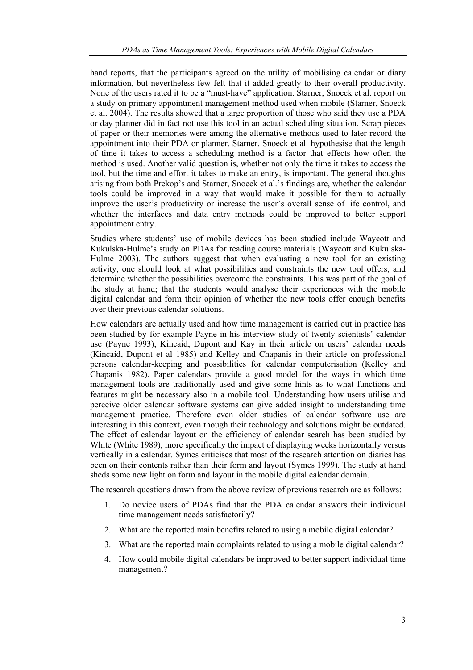hand reports, that the participants agreed on the utility of mobilising calendar or diary information, but nevertheless few felt that it added greatly to their overall productivity. None of the users rated it to be a "must-have" application. Starner, Snoeck et al. report on a study on primary appointment management method used when mobile (Starner, Snoeck et al. 2004). The results showed that a large proportion of those who said they use a PDA or day planner did in fact not use this tool in an actual scheduling situation. Scrap pieces of paper or their memories were among the alternative methods used to later record the appointment into their PDA or planner. Starner, Snoeck et al. hypothesise that the length of time it takes to access a scheduling method is a factor that effects how often the method is used. Another valid question is, whether not only the time it takes to access the tool, but the time and effort it takes to make an entry, is important. The general thoughts arising from both Prekop's and Starner, Snoeck et al.'s findings are, whether the calendar tools could be improved in a way that would make it possible for them to actually improve the user's productivity or increase the user's overall sense of life control, and whether the interfaces and data entry methods could be improved to better support appointment entry.

Studies where students' use of mobile devices has been studied include Waycott and Kukulska-Hulme's study on PDAs for reading course materials (Waycott and Kukulska-Hulme 2003). The authors suggest that when evaluating a new tool for an existing activity, one should look at what possibilities and constraints the new tool offers, and determine whether the possibilities overcome the constraints. This was part of the goal of the study at hand; that the students would analyse their experiences with the mobile digital calendar and form their opinion of whether the new tools offer enough benefits over their previous calendar solutions.

How calendars are actually used and how time management is carried out in practice has been studied by for example Payne in his interview study of twenty scientists' calendar use (Payne 1993), Kincaid, Dupont and Kay in their article on users' calendar needs (Kincaid, Dupont et al 1985) and Kelley and Chapanis in their article on professional persons calendar-keeping and possibilities for calendar computerisation (Kelley and Chapanis 1982). Paper calendars provide a good model for the ways in which time management tools are traditionally used and give some hints as to what functions and features might be necessary also in a mobile tool. Understanding how users utilise and perceive older calendar software systems can give added insight to understanding time management practice. Therefore even older studies of calendar software use are interesting in this context, even though their technology and solutions might be outdated. The effect of calendar layout on the efficiency of calendar search has been studied by White (White 1989), more specifically the impact of displaying weeks horizontally versus vertically in a calendar. Symes criticises that most of the research attention on diaries has been on their contents rather than their form and layout (Symes 1999). The study at hand sheds some new light on form and layout in the mobile digital calendar domain.

The research questions drawn from the above review of previous research are as follows:

- 1. Do novice users of PDAs find that the PDA calendar answers their individual time management needs satisfactorily?
- 2. What are the reported main benefits related to using a mobile digital calendar?
- 3. What are the reported main complaints related to using a mobile digital calendar?
- 4. How could mobile digital calendars be improved to better support individual time management?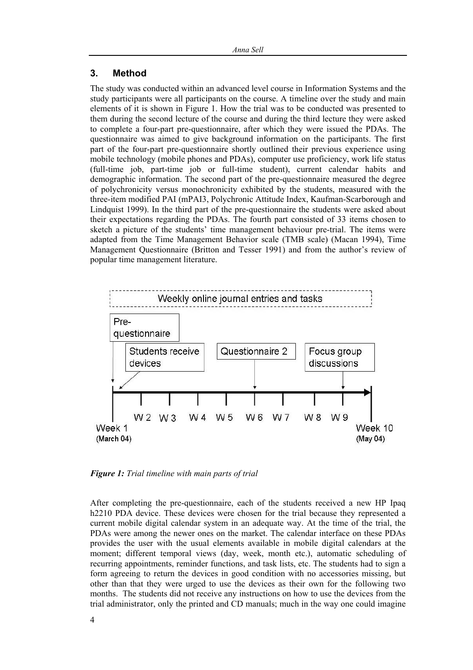#### **3. Method**

The study was conducted within an advanced level course in Information Systems and the study participants were all participants on the course. A timeline over the study and main elements of it is shown in Figure 1. How the trial was to be conducted was presented to them during the second lecture of the course and during the third lecture they were asked to complete a four-part pre-questionnaire, after which they were issued the PDAs. The questionnaire was aimed to give background information on the participants. The first part of the four-part pre-questionnaire shortly outlined their previous experience using mobile technology (mobile phones and PDAs), computer use proficiency, work life status (full-time job, part-time job or full-time student), current calendar habits and demographic information. The second part of the pre-questionnaire measured the degree of polychronicity versus monochronicity exhibited by the students, measured with the three-item modified PAI (mPAI3, Polychronic Attitude Index, Kaufman-Scarborough and Lindquist 1999). In the third part of the pre-questionnaire the students were asked about their expectations regarding the PDAs. The fourth part consisted of 33 items chosen to sketch a picture of the students' time management behaviour pre-trial. The items were adapted from the Time Management Behavior scale (TMB scale) (Macan 1994), Time Management Questionnaire (Britton and Tesser 1991) and from the author's review of popular time management literature.



*Figure 1: Trial timeline with main parts of trial* 

After completing the pre-questionnaire, each of the students received a new HP Ipaq h2210 PDA device. These devices were chosen for the trial because they represented a current mobile digital calendar system in an adequate way. At the time of the trial, the PDAs were among the newer ones on the market. The calendar interface on these PDAs provides the user with the usual elements available in mobile digital calendars at the moment; different temporal views (day, week, month etc.), automatic scheduling of recurring appointments, reminder functions, and task lists, etc. The students had to sign a form agreeing to return the devices in good condition with no accessories missing, but other than that they were urged to use the devices as their own for the following two months. The students did not receive any instructions on how to use the devices from the trial administrator, only the printed and CD manuals; much in the way one could imagine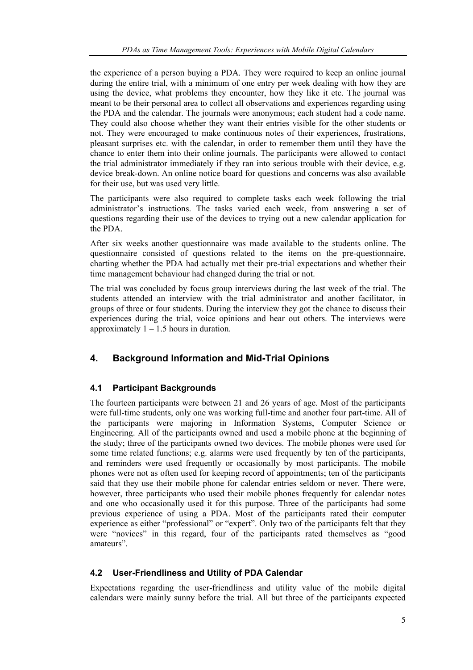the experience of a person buying a PDA. They were required to keep an online journal during the entire trial, with a minimum of one entry per week dealing with how they are using the device, what problems they encounter, how they like it etc. The journal was meant to be their personal area to collect all observations and experiences regarding using the PDA and the calendar. The journals were anonymous; each student had a code name. They could also choose whether they want their entries visible for the other students or not. They were encouraged to make continuous notes of their experiences, frustrations, pleasant surprises etc. with the calendar, in order to remember them until they have the chance to enter them into their online journals. The participants were allowed to contact the trial administrator immediately if they ran into serious trouble with their device, e.g. device break-down. An online notice board for questions and concerns was also available for their use, but was used very little.

The participants were also required to complete tasks each week following the trial administrator's instructions. The tasks varied each week, from answering a set of questions regarding their use of the devices to trying out a new calendar application for the PDA.

After six weeks another questionnaire was made available to the students online. The questionnaire consisted of questions related to the items on the pre-questionnaire, charting whether the PDA had actually met their pre-trial expectations and whether their time management behaviour had changed during the trial or not.

The trial was concluded by focus group interviews during the last week of the trial. The students attended an interview with the trial administrator and another facilitator, in groups of three or four students. During the interview they got the chance to discuss their experiences during the trial, voice opinions and hear out others. The interviews were approximately  $1 - 1.5$  hours in duration.

# **4. Background Information and Mid-Trial Opinions**

#### **4.1 Participant Backgrounds**

The fourteen participants were between 21 and 26 years of age. Most of the participants were full-time students, only one was working full-time and another four part-time. All of the participants were majoring in Information Systems, Computer Science or Engineering. All of the participants owned and used a mobile phone at the beginning of the study; three of the participants owned two devices. The mobile phones were used for some time related functions; e.g. alarms were used frequently by ten of the participants, and reminders were used frequently or occasionally by most participants. The mobile phones were not as often used for keeping record of appointments; ten of the participants said that they use their mobile phone for calendar entries seldom or never. There were, however, three participants who used their mobile phones frequently for calendar notes and one who occasionally used it for this purpose. Three of the participants had some previous experience of using a PDA. Most of the participants rated their computer experience as either "professional" or "expert". Only two of the participants felt that they were "novices" in this regard, four of the participants rated themselves as "good amateurs".

#### **4.2 User-Friendliness and Utility of PDA Calendar**

Expectations regarding the user-friendliness and utility value of the mobile digital calendars were mainly sunny before the trial. All but three of the participants expected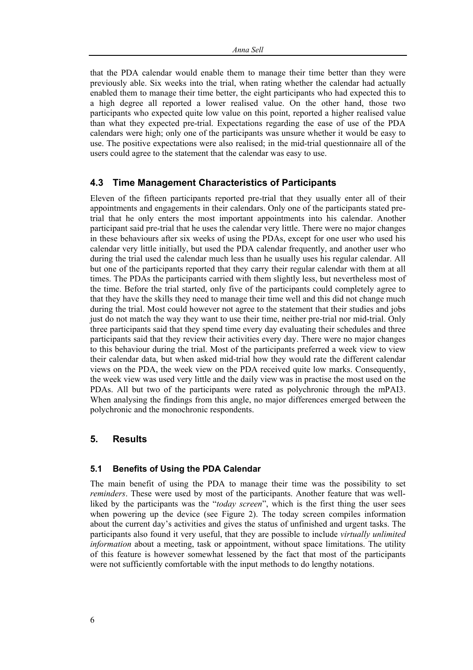that the PDA calendar would enable them to manage their time better than they were previously able. Six weeks into the trial, when rating whether the calendar had actually enabled them to manage their time better, the eight participants who had expected this to a high degree all reported a lower realised value. On the other hand, those two participants who expected quite low value on this point, reported a higher realised value than what they expected pre-trial. Expectations regarding the ease of use of the PDA calendars were high; only one of the participants was unsure whether it would be easy to use. The positive expectations were also realised; in the mid-trial questionnaire all of the users could agree to the statement that the calendar was easy to use.

#### **4.3 Time Management Characteristics of Participants**

Eleven of the fifteen participants reported pre-trial that they usually enter all of their appointments and engagements in their calendars. Only one of the participants stated pretrial that he only enters the most important appointments into his calendar. Another participant said pre-trial that he uses the calendar very little. There were no major changes in these behaviours after six weeks of using the PDAs, except for one user who used his calendar very little initially, but used the PDA calendar frequently, and another user who during the trial used the calendar much less than he usually uses his regular calendar. All but one of the participants reported that they carry their regular calendar with them at all times. The PDAs the participants carried with them slightly less, but nevertheless most of the time. Before the trial started, only five of the participants could completely agree to that they have the skills they need to manage their time well and this did not change much during the trial. Most could however not agree to the statement that their studies and jobs just do not match the way they want to use their time, neither pre-trial nor mid-trial. Only three participants said that they spend time every day evaluating their schedules and three participants said that they review their activities every day. There were no major changes to this behaviour during the trial. Most of the participants preferred a week view to view their calendar data, but when asked mid-trial how they would rate the different calendar views on the PDA, the week view on the PDA received quite low marks. Consequently, the week view was used very little and the daily view was in practise the most used on the PDAs. All but two of the participants were rated as polychronic through the mPAI3. When analysing the findings from this angle, no major differences emerged between the polychronic and the monochronic respondents.

#### **5. Results**

#### **5.1 Benefits of Using the PDA Calendar**

The main benefit of using the PDA to manage their time was the possibility to set *reminders*. These were used by most of the participants. Another feature that was wellliked by the participants was the "*today screen*", which is the first thing the user sees when powering up the device (see Figure 2). The today screen compiles information about the current day's activities and gives the status of unfinished and urgent tasks. The participants also found it very useful, that they are possible to include *virtually unlimited information* about a meeting, task or appointment, without space limitations. The utility of this feature is however somewhat lessened by the fact that most of the participants were not sufficiently comfortable with the input methods to do lengthy notations.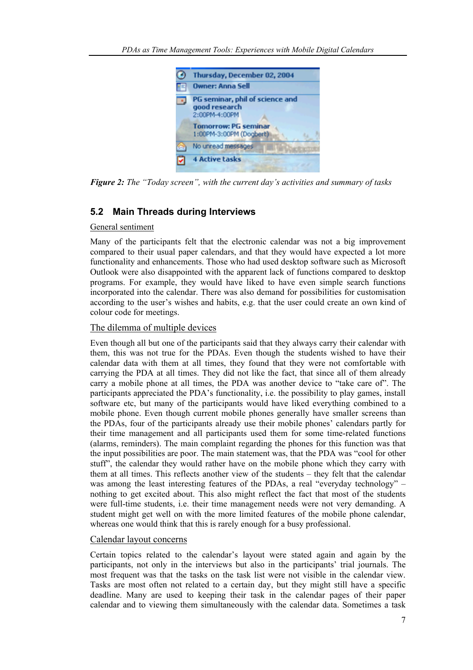

*Figure 2: The "Today screen", with the current day's activities and summary of tasks* 

# **5.2 Main Threads during Interviews**

#### General sentiment

Many of the participants felt that the electronic calendar was not a big improvement compared to their usual paper calendars, and that they would have expected a lot more functionality and enhancements. Those who had used desktop software such as Microsoft Outlook were also disappointed with the apparent lack of functions compared to desktop programs. For example, they would have liked to have even simple search functions incorporated into the calendar. There was also demand for possibilities for customisation according to the user's wishes and habits, e.g. that the user could create an own kind of colour code for meetings.

#### The dilemma of multiple devices

Even though all but one of the participants said that they always carry their calendar with them, this was not true for the PDAs. Even though the students wished to have their calendar data with them at all times, they found that they were not comfortable with carrying the PDA at all times. They did not like the fact, that since all of them already carry a mobile phone at all times, the PDA was another device to "take care of". The participants appreciated the PDA's functionality, i.e. the possibility to play games, install software etc, but many of the participants would have liked everything combined to a mobile phone. Even though current mobile phones generally have smaller screens than the PDAs, four of the participants already use their mobile phones' calendars partly for their time management and all participants used them for some time-related functions (alarms, reminders). The main complaint regarding the phones for this function was that the input possibilities are poor. The main statement was, that the PDA was "cool for other stuff", the calendar they would rather have on the mobile phone which they carry with them at all times. This reflects another view of the students – they felt that the calendar was among the least interesting features of the PDAs, a real "everyday technology" – nothing to get excited about. This also might reflect the fact that most of the students were full-time students, i.e. their time management needs were not very demanding. A student might get well on with the more limited features of the mobile phone calendar, whereas one would think that this is rarely enough for a busy professional.

#### Calendar layout concerns

Certain topics related to the calendar's layout were stated again and again by the participants, not only in the interviews but also in the participants' trial journals. The most frequent was that the tasks on the task list were not visible in the calendar view. Tasks are most often not related to a certain day, but they might still have a specific deadline. Many are used to keeping their task in the calendar pages of their paper calendar and to viewing them simultaneously with the calendar data. Sometimes a task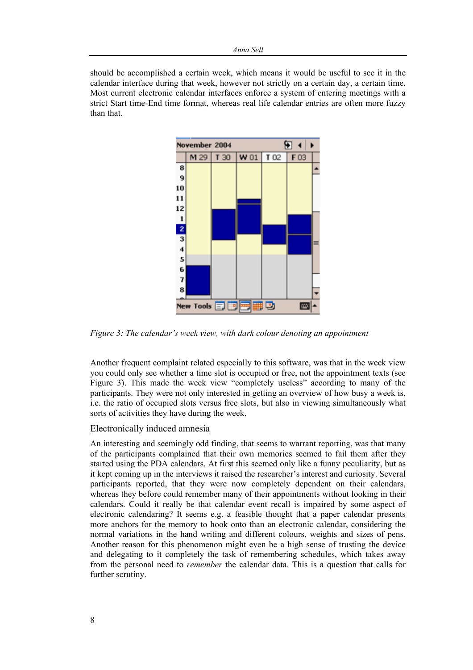should be accomplished a certain week, which means it would be useful to see it in the calendar interface during that week, however not strictly on a certain day, a certain time. Most current electronic calendar interfaces enforce a system of entering meetings with a strict Start time-End time format, whereas real life calendar entries are often more fuzzy than that.



*Figure 3: The calendar's week view, with dark colour denoting an appointment* 

Another frequent complaint related especially to this software, was that in the week view you could only see whether a time slot is occupied or free, not the appointment texts (see Figure 3). This made the week view "completely useless" according to many of the participants. They were not only interested in getting an overview of how busy a week is, i.e. the ratio of occupied slots versus free slots, but also in viewing simultaneously what sorts of activities they have during the week.

#### Electronically induced amnesia

An interesting and seemingly odd finding, that seems to warrant reporting, was that many of the participants complained that their own memories seemed to fail them after they started using the PDA calendars. At first this seemed only like a funny peculiarity, but as it kept coming up in the interviews it raised the researcher's interest and curiosity. Several participants reported, that they were now completely dependent on their calendars, whereas they before could remember many of their appointments without looking in their calendars. Could it really be that calendar event recall is impaired by some aspect of electronic calendaring? It seems e.g. a feasible thought that a paper calendar presents more anchors for the memory to hook onto than an electronic calendar, considering the normal variations in the hand writing and different colours, weights and sizes of pens. Another reason for this phenomenon might even be a high sense of trusting the device and delegating to it completely the task of remembering schedules, which takes away from the personal need to *remember* the calendar data. This is a question that calls for further scrutiny.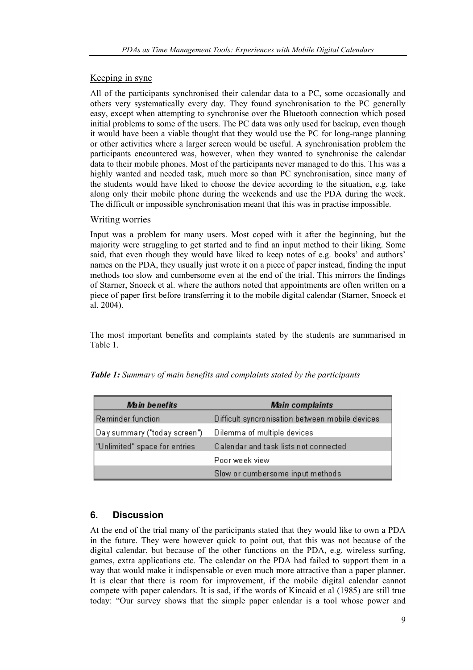## Keeping in sync

All of the participants synchronised their calendar data to a PC, some occasionally and others very systematically every day. They found synchronisation to the PC generally easy, except when attempting to synchronise over the Bluetooth connection which posed initial problems to some of the users. The PC data was only used for backup, even though it would have been a viable thought that they would use the PC for long-range planning or other activities where a larger screen would be useful. A synchronisation problem the participants encountered was, however, when they wanted to synchronise the calendar data to their mobile phones. Most of the participants never managed to do this. This was a highly wanted and needed task, much more so than PC synchronisation, since many of the students would have liked to choose the device according to the situation, e.g. take along only their mobile phone during the weekends and use the PDA during the week. The difficult or impossible synchronisation meant that this was in practise impossible.

#### Writing worries

Input was a problem for many users. Most coped with it after the beginning, but the majority were struggling to get started and to find an input method to their liking. Some said, that even though they would have liked to keep notes of e.g. books' and authors' names on the PDA, they usually just wrote it on a piece of paper instead, finding the input methods too slow and cumbersome even at the end of the trial. This mirrors the findings of Starner, Snoeck et al. where the authors noted that appointments are often written on a piece of paper first before transferring it to the mobile digital calendar (Starner, Snoeck et al. 2004).

The most important benefits and complaints stated by the students are summarised in Table 1.

| Main benefits                 | <b>Main complaints</b>                          |
|-------------------------------|-------------------------------------------------|
| Reminder function             | Difficult syncronisation between mobile devices |
| Day summary ("today screen")  | Dilemma of multiple devices                     |
| "Unlimited" space for entries | Calendar and task lists not connected           |
|                               | Poor week view                                  |
|                               | Slow or cumbersome input methods                |

*Table 1: Summary of main benefits and complaints stated by the participants* 

# **6. Discussion**

At the end of the trial many of the participants stated that they would like to own a PDA in the future. They were however quick to point out, that this was not because of the digital calendar, but because of the other functions on the PDA, e.g. wireless surfing, games, extra applications etc. The calendar on the PDA had failed to support them in a way that would make it indispensable or even much more attractive than a paper planner. It is clear that there is room for improvement, if the mobile digital calendar cannot compete with paper calendars. It is sad, if the words of Kincaid et al (1985) are still true today: "Our survey shows that the simple paper calendar is a tool whose power and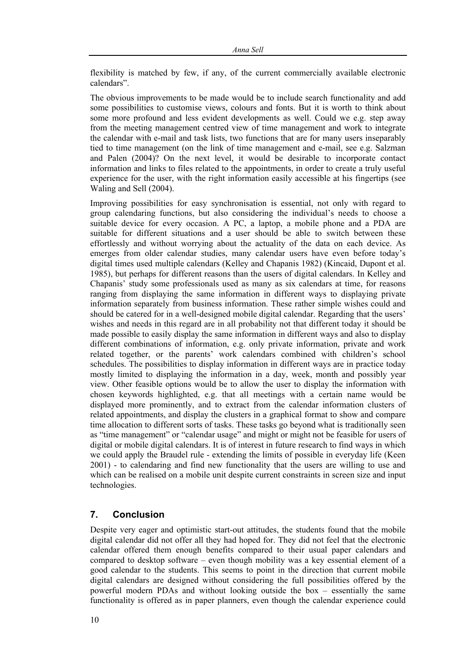flexibility is matched by few, if any, of the current commercially available electronic calendars".

The obvious improvements to be made would be to include search functionality and add some possibilities to customise views, colours and fonts. But it is worth to think about some more profound and less evident developments as well. Could we e.g. step away from the meeting management centred view of time management and work to integrate the calendar with e-mail and task lists, two functions that are for many users inseparably tied to time management (on the link of time management and e-mail, see e.g. Salzman and Palen (2004)? On the next level, it would be desirable to incorporate contact information and links to files related to the appointments, in order to create a truly useful experience for the user, with the right information easily accessible at his fingertips (see Waling and Sell (2004).

Improving possibilities for easy synchronisation is essential, not only with regard to group calendaring functions, but also considering the individual's needs to choose a suitable device for every occasion. A PC, a laptop, a mobile phone and a PDA are suitable for different situations and a user should be able to switch between these effortlessly and without worrying about the actuality of the data on each device. As emerges from older calendar studies, many calendar users have even before today's digital times used multiple calendars (Kelley and Chapanis 1982) (Kincaid, Dupont et al. 1985), but perhaps for different reasons than the users of digital calendars. In Kelley and Chapanis' study some professionals used as many as six calendars at time, for reasons ranging from displaying the same information in different ways to displaying private information separately from business information. These rather simple wishes could and should be catered for in a well-designed mobile digital calendar. Regarding that the users' wishes and needs in this regard are in all probability not that different today it should be made possible to easily display the same information in different ways and also to display different combinations of information, e.g. only private information, private and work related together, or the parents' work calendars combined with children's school schedules. The possibilities to display information in different ways are in practice today mostly limited to displaying the information in a day, week, month and possibly year view. Other feasible options would be to allow the user to display the information with chosen keywords highlighted, e.g. that all meetings with a certain name would be displayed more prominently, and to extract from the calendar information clusters of related appointments, and display the clusters in a graphical format to show and compare time allocation to different sorts of tasks. These tasks go beyond what is traditionally seen as "time management" or "calendar usage" and might or might not be feasible for users of digital or mobile digital calendars. It is of interest in future research to find ways in which we could apply the Braudel rule - extending the limits of possible in everyday life (Keen 2001) - to calendaring and find new functionality that the users are willing to use and which can be realised on a mobile unit despite current constraints in screen size and input technologies.

#### **7. Conclusion**

Despite very eager and optimistic start-out attitudes, the students found that the mobile digital calendar did not offer all they had hoped for. They did not feel that the electronic calendar offered them enough benefits compared to their usual paper calendars and compared to desktop software – even though mobility was a key essential element of a good calendar to the students. This seems to point in the direction that current mobile digital calendars are designed without considering the full possibilities offered by the powerful modern PDAs and without looking outside the box – essentially the same functionality is offered as in paper planners, even though the calendar experience could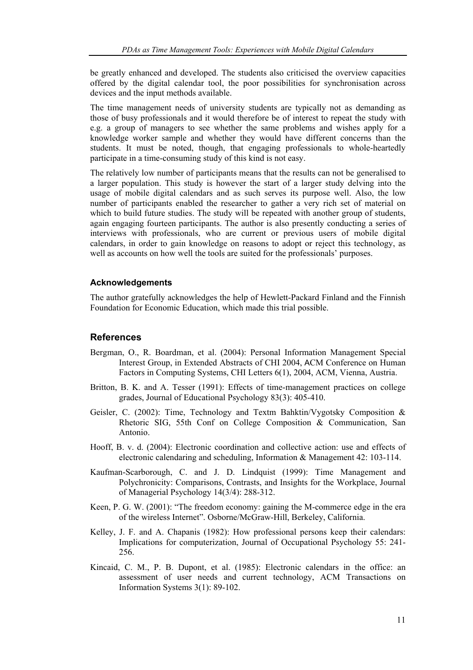be greatly enhanced and developed. The students also criticised the overview capacities offered by the digital calendar tool, the poor possibilities for synchronisation across devices and the input methods available.

The time management needs of university students are typically not as demanding as those of busy professionals and it would therefore be of interest to repeat the study with e.g. a group of managers to see whether the same problems and wishes apply for a knowledge worker sample and whether they would have different concerns than the students. It must be noted, though, that engaging professionals to whole-heartedly participate in a time-consuming study of this kind is not easy.

The relatively low number of participants means that the results can not be generalised to a larger population. This study is however the start of a larger study delving into the usage of mobile digital calendars and as such serves its purpose well. Also, the low number of participants enabled the researcher to gather a very rich set of material on which to build future studies. The study will be repeated with another group of students, again engaging fourteen participants. The author is also presently conducting a series of interviews with professionals, who are current or previous users of mobile digital calendars, in order to gain knowledge on reasons to adopt or reject this technology, as well as accounts on how well the tools are suited for the professionals' purposes.

#### **Acknowledgements**

The author gratefully acknowledges the help of Hewlett-Packard Finland and the Finnish Foundation for Economic Education, which made this trial possible.

#### **References**

- Bergman, O., R. Boardman, et al. (2004): Personal Information Management Special Interest Group, in Extended Abstracts of CHI 2004, ACM Conference on Human Factors in Computing Systems, CHI Letters 6(1), 2004, ACM, Vienna, Austria.
- Britton, B. K. and A. Tesser (1991): Effects of time-management practices on college grades, Journal of Educational Psychology 83(3): 405-410.
- Geisler, C. (2002): Time, Technology and Textm Bahktin/Vygotsky Composition & Rhetoric SIG, 55th Conf on College Composition & Communication, San Antonio.
- Hooff, B. v. d. (2004): Electronic coordination and collective action: use and effects of electronic calendaring and scheduling, Information & Management 42: 103-114.
- Kaufman-Scarborough, C. and J. D. Lindquist (1999): Time Management and Polychronicity: Comparisons, Contrasts, and Insights for the Workplace, Journal of Managerial Psychology 14(3/4): 288-312.
- Keen, P. G. W. (2001): "The freedom economy: gaining the M-commerce edge in the era of the wireless Internet". Osborne/McGraw-Hill, Berkeley, California.
- Kelley, J. F. and A. Chapanis (1982): How professional persons keep their calendars: Implications for computerization, Journal of Occupational Psychology 55: 241- 256.
- Kincaid, C. M., P. B. Dupont, et al. (1985): Electronic calendars in the office: an assessment of user needs and current technology, ACM Transactions on Information Systems 3(1): 89-102.